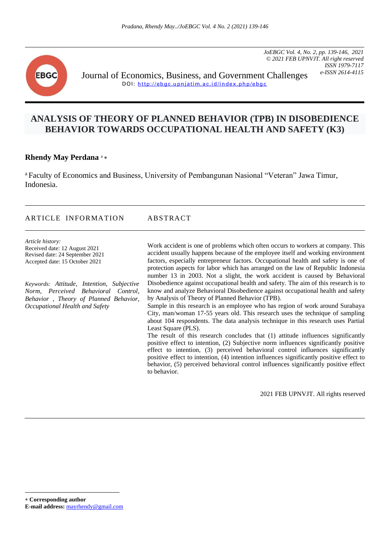*JoEBGC Vol. 4, No. 2, pp. 139-146, 2021 © 2021 FEB UPNVJT. All right reserved*

> *ISSN 1979-7117 e-ISSN 2614-4115*



Journal of Economics, Business, and Government Challenges DOI:<http://ebgc.upnjatim.ac.id/index.php/ebgc>

# **ANALYSIS OF THEORY OF PLANNED BEHAVIOR (TPB) IN DISOBEDIENCE BEHAVIOR TOWARDS OCCUPATIONAL HEALTH AND SAFETY (K3)**

#### **Rhendy May Perdana** <sup>a</sup>

<sup>a</sup> Faculty of Economics and Business, University of Pembangunan Nasional "Veteran" Jawa Timur, Indonesia.

| ARTICLE INFORMATION                                                                                                       | ABSTRACT                                                                                                                                                                                                                                                                                                                                                                                                                                                    |
|---------------------------------------------------------------------------------------------------------------------------|-------------------------------------------------------------------------------------------------------------------------------------------------------------------------------------------------------------------------------------------------------------------------------------------------------------------------------------------------------------------------------------------------------------------------------------------------------------|
| Article history:<br>Received date: 12 August 2021<br>Revised date: 24 September 2021<br>Accepted date: 15 October 2021    | Work accident is one of problems which often occurs to workers at company. This<br>accident usually happens because of the employee itself and working environment<br>factors, especially entrepreneur factors. Occupational health and safety is one of<br>protection aspects for labor which has arranged on the law of Republic Indonesia<br>number 13 in 2003. Not a slight, the work accident is caused by Behavioral                                  |
| Keywords: Attitude, Intention, Subjective<br>Norm, Perceived Behavioral Control,<br>Behavior, Theory of Planned Behavior, | Disobedience against occupational health and safety. The aim of this research is to<br>know and analyze Behavioral Disobedience against occupational health and safety<br>by Analysis of Theory of Planned Behavior (TPB).                                                                                                                                                                                                                                  |
| Occupational Health and Safety                                                                                            | Sample in this research is an employee who has region of work around Surabaya<br>City, man/woman 17-55 years old. This research uses the technique of sampling<br>about 104 respondents. The data analysis technique in this research uses Partial<br>Least Square (PLS).                                                                                                                                                                                   |
|                                                                                                                           | The result of this research concludes that (1) attitude influences significantly<br>positive effect to intention, (2) Subjective norm influences significantly positive<br>effect to intention, (3) perceived behavioral control influences significantly<br>positive effect to intention, (4) intention influences significantly positive effect to<br>behavior, (5) perceived behavioral control influences significantly positive effect<br>to behavior. |
|                                                                                                                           | 2021 FEB UPNVJT. All rights reserved                                                                                                                                                                                                                                                                                                                                                                                                                        |

**Corresponding author**

**E-mail address:** [mayrhendy@gmail.com](mailto:mayrhendy@gmail.com)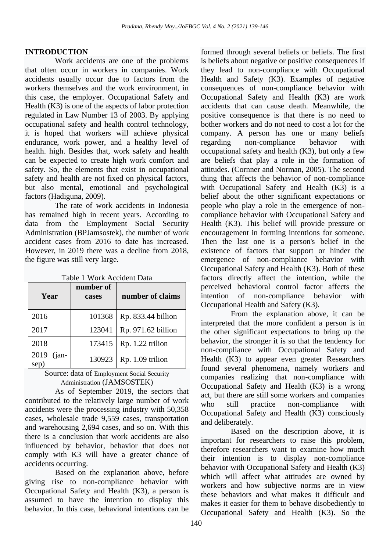## **INTRODUCTION**

Work accidents are one of the problems that often occur in workers in companies. Work accidents usually occur due to factors from the workers themselves and the work environment, in this case, the employer. Occupational Safety and Health (K3) is one of the aspects of labor protection regulated in Law Number 13 of 2003. By applying occupational safety and health control technology, it is hoped that workers will achieve physical endurance, work power, and a healthy level of health. high. Besides that, work safety and health can be expected to create high work comfort and safety. So, the elements that exist in occupational safety and health are not fixed on physical factors, but also mental, emotional and psychological factors (Hadiguna, 2009).

The rate of work accidents in Indonesia has remained high in recent years. According to data from the Employment Social Security Administration (BPJamsostek), the number of work accident cases from 2016 to date has increased. However, in 2019 there was a decline from 2018, the figure was still very large.

| Year                   | Table 1 Work Accident Data<br>number of<br>cases | number of claims   |
|------------------------|--------------------------------------------------|--------------------|
| 2016                   | 101368                                           | Rp. 833.44 billion |
| 2017                   | 123041                                           | Rp. 971.62 billion |
| 2018                   | 173415                                           | Rp. 1.22 trilion   |
| 2019<br>$(ian-$<br>sep | 130923                                           | Rp. 1.09 trilion   |

|  | Table 1 Work Accident Data |  |
|--|----------------------------|--|

# Source: data of Employment Social Security Administration (JAMSOSTEK)

As of September 2019, the sectors that contributed to the relatively large number of work accidents were the processing industry with 50,358 cases, wholesale trade 9,559 cases, transportation and warehousing 2,694 cases, and so on. With this there is a conclusion that work accidents are also influenced by behavior, behavior that does not comply with K3 will have a greater chance of accidents occurring.

Based on the explanation above, before giving rise to non-compliance behavior with Occupational Safety and Health (K3), a person is assumed to have the intention to display this behavior. In this case, behavioral intentions can be

formed through several beliefs or beliefs. The first is beliefs about negative or positive consequences if they lead to non-compliance with Occupational Health and Safety (K3). Examples of negative consequences of non-compliance behavior with Occupational Safety and Health (K3) are work accidents that can cause death. Meanwhile, the positive consequence is that there is no need to bother workers and do not need to cost a lot for the company. A person has one or many beliefs regarding non-compliance behavior with occupational safety and health (K3), but only a few are beliefs that play a role in the formation of attitudes. (Cornner and Norman, 2005). The second thing that affects the behavior of non-compliance with Occupational Safety and Health (K3) is a belief about the other significant expectations or people who play a role in the emergence of noncompliance behavior with Occupational Safety and Health (K3). This belief will provide pressure or encouragement in forming intentions for someone. Then the last one is a person's belief in the existence of factors that support or hinder the emergence of non-compliance behavior with Occupational Safety and Health (K3). Both of these factors directly affect the intention, while the perceived behavioral control factor affects the intention of non-compliance behavior with Occupational Health and Safety (K3).

From the explanation above, it can be interpreted that the more confident a person is in the other significant expectations to bring up the behavior, the stronger it is so that the tendency for non-compliance with Occupational Safety and Health (K3) to appear even greater Researchers found several phenomena, namely workers and companies realizing that non-compliance with Occupational Safety and Health (K3) is a wrong act, but there are still some workers and companies who still practice non-compliance with Occupational Safety and Health (K3) consciously and deliberately.

Based on the description above, it is important for researchers to raise this problem, therefore researchers want to examine how much their intention is to display non-compliance behavior with Occupational Safety and Health (K3) which will affect what attitudes are owned by workers and how subjective norms are in view these behaviors and what makes it difficult and makes it easier for them to behave disobediently to Occupational Safety and Health (K3). So the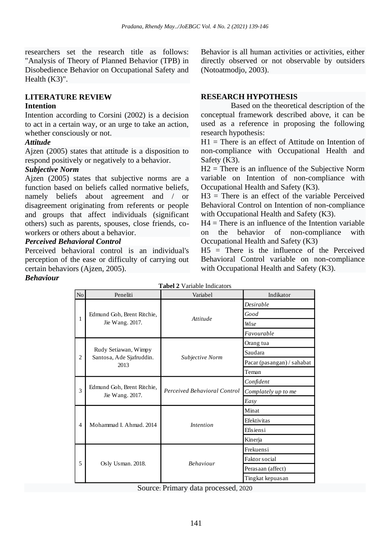researchers set the research title as follows: "Analysis of Theory of Planned Behavior (TPB) in Disobedience Behavior on Occupational Safety and Health  $(K3)$ ".

#### **LITERATURE REVIEW Intention**

Intention according to Corsini (2002) is a decision to act in a certain way, or an urge to take an action, whether consciously or not.

## *Attitude*

Ajzen (2005) states that attitude is a disposition to respond positively or negatively to a behavior.

## *Subjective Norm*

Ajzen (2005) states that subjective norms are a function based on beliefs called normative beliefs, namely beliefs about agreement and / or disagreement originating from referents or people and groups that affect individuals (significant others) such as parents, spouses, close friends, coworkers or others about a behavior.

## *Perceived Behavioral Control*

Perceived behavioral control is an individual's perception of the ease or difficulty of carrying out certain behaviors (Ajzen, 2005).

#### *Behaviour*

Behavior is all human activities or activities, either directly observed or not observable by outsiders (Notoatmodjo, 2003).

#### **RESEARCH HYPOTHESIS**

Based on the theoretical description of the conceptual framework described above, it can be used as a reference in proposing the following research hypothesis:

 $H1$  = There is an effect of Attitude on Intention of non-compliance with Occupational Health and Safety (K3).

 $H2 =$  There is an influence of the Subjective Norm variable on Intention of non-compliance with Occupational Health and Safety (K3).

H3 = There is an effect of the variable Perceived Behavioral Control on Intention of non-compliance with Occupational Health and Safety (K3).

 $H4 =$ There is an influence of the Intention variable on the behavior of non-compliance with Occupational Health and Safety (K3)

 $H5 =$  There is the influence of the Perceived Behavioral Control variable on non-compliance with Occupational Health and Safety (K3).

|                | <b>Tabel 2 Variable Indicators</b>            |                              |                            |  |  |  |  |  |
|----------------|-----------------------------------------------|------------------------------|----------------------------|--|--|--|--|--|
| No             | Peneliti                                      | Indikator                    |                            |  |  |  |  |  |
|                |                                               |                              | Desirable                  |  |  |  |  |  |
|                | Edmund Goh, Brent Ritchie,<br>Jie Wang. 2017. | Attitude                     | Good                       |  |  |  |  |  |
| 1              |                                               |                              | Wise                       |  |  |  |  |  |
|                |                                               |                              | Favourable                 |  |  |  |  |  |
|                |                                               |                              | Orang tua                  |  |  |  |  |  |
| $\overline{c}$ | Rudy Setiawan, Wimpy                          |                              | Saudara                    |  |  |  |  |  |
|                | Santosa, Ade Sjafruddin.<br>2013              | <b>Subjective Norm</b>       | Pacar (pasangan) / sahabat |  |  |  |  |  |
|                |                                               |                              | Teman                      |  |  |  |  |  |
|                |                                               | Perceived Behavioral Control | Confident                  |  |  |  |  |  |
| 3              | Edmund Goh, Brent Ritchie,<br>Jie Wang. 2017. |                              | Complately up to me        |  |  |  |  |  |
|                |                                               |                              | Easy                       |  |  |  |  |  |
|                |                                               |                              | Minat                      |  |  |  |  |  |
| 4              | Mohammad I. Ahmad. 2014                       | <i>Intention</i>             | Efektivitas                |  |  |  |  |  |
|                |                                               |                              | Efisiensi                  |  |  |  |  |  |
|                |                                               |                              | Kinerja                    |  |  |  |  |  |
|                |                                               | <b>Behaviour</b>             | Frekuensi                  |  |  |  |  |  |
| 5              |                                               |                              | Faktor social              |  |  |  |  |  |
|                | Osly Usman. 2018.                             |                              | Perasaan (affect)          |  |  |  |  |  |
|                |                                               |                              | Tingkat kepuasan           |  |  |  |  |  |

Source: Primary data processed, 2020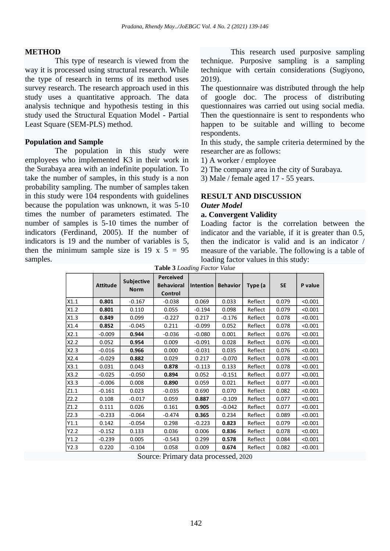## **METHOD**

This type of research is viewed from the way it is processed using structural research. While the type of research in terms of its method uses survey research. The research approach used in this study uses a quantitative approach. The data analysis technique and hypothesis testing in this study used the Structural Equation Model - Partial Least Square (SEM-PLS) method.

## **Population and Sample**

The population in this study were employees who implemented K3 in their work in the Surabaya area with an indefinite population. To take the number of samples, in this study is a non probability sampling. The number of samples taken in this study were 104 respondents with guidelines because the population was unknown, it was 5-10 times the number of parameters estimated. The number of samples is 5-10 times the number of indicators (Ferdinand, 2005). If the number of indicators is  $19$  and the number of variables is  $5$ , then the minimum sample size is  $19 \times 5 = 95$ samples.

This research used purposive sampling technique. Purposive sampling is a sampling technique with certain considerations (Sugiyono, 2019).

The questionnaire was distributed through the help of google doc. The process of distributing questionnaires was carried out using social media. Then the questionnaire is sent to respondents who happen to be suitable and willing to become respondents.

In this study, the sample criteria determined by the researcher are as follows:

1) A worker / employee

2) The company area in the city of Surabaya.

3) Male / female aged 17 - 55 years.

## **RESULT AND DISCUSSION** *Outer Model*

#### **a. Convergent Validity**

Loading factor is the correlation between the indicator and the variable, if it is greater than 0.5, then the indicator is valid and is an indicator / measure of the variable. The following is a table of loading factor values in this study:

**Table 3** *Loading Factor Value*

| $\sim$ 4.010 $\sim$ 4.000 $\sim$ 6.000 $\sim$ 6.000 $\sim$ |                 |                           |                                           |           |                 |         |           |         |
|------------------------------------------------------------|-----------------|---------------------------|-------------------------------------------|-----------|-----------------|---------|-----------|---------|
|                                                            | <b>Attitude</b> | Subjective<br><b>Norm</b> | Perceived<br><b>Behavioral</b><br>Control | Intention | <b>Behavior</b> | Type (a | <b>SE</b> | P value |
| X1.1                                                       | 0.801           | $-0.167$                  | $-0.038$                                  | 0.069     | 0.033           | Reflect | 0.079     | < 0.001 |
| X1.2                                                       | 0.801           | 0.110                     | 0.055                                     | $-0.194$  | 0.098           | Reflect | 0.079     | < 0.001 |
| X1.3                                                       | 0.849           | 0.099                     | $-0.227$                                  | 0.217     | $-0.176$        | Reflect | 0.078     | < 0.001 |
| X1.4                                                       | 0.852           | $-0.045$                  | 0.211                                     | $-0.099$  | 0.052           | Reflect | 0.078     | < 0.001 |
| X2.1                                                       | $-0.009$        | 0.944                     | $-0.036$                                  | $-0.080$  | 0.001           | Reflect | 0.076     | < 0.001 |
| X2.2                                                       | 0.052           | 0.954                     | 0.009                                     | $-0.091$  | 0.028           | Reflect | 0.076     | < 0.001 |
| X2.3                                                       | $-0.016$        | 0.966                     | 0.000                                     | $-0.031$  | 0.035           | Reflect | 0.076     | < 0.001 |
| X2.4                                                       | $-0.029$        | 0.882                     | 0.029                                     | 0.217     | $-0.070$        | Reflect | 0.078     | < 0.001 |
| X3.1                                                       | 0.031           | 0.043                     | 0.878                                     | $-0.113$  | 0.133           | Reflect | 0.078     | < 0.001 |
| X3.2                                                       | $-0.025$        | $-0.050$                  | 0.894                                     | 0.052     | $-0.151$        | Reflect | 0.077     | < 0.001 |
| X3.3                                                       | $-0.006$        | 0.008                     | 0.890                                     | 0.059     | 0.021           | Reflect | 0.077     | < 0.001 |
| Z1.1                                                       | $-0.161$        | 0.023                     | $-0.035$                                  | 0.690     | 0.070           | Reflect | 0.082     | < 0.001 |
| Z2.2                                                       | 0.108           | $-0.017$                  | 0.059                                     | 0.887     | $-0.109$        | Reflect | 0.077     | < 0.001 |
| Z1.2                                                       | 0.111           | 0.026                     | 0.161                                     | 0.905     | $-0.042$        | Reflect | 0.077     | < 0.001 |
| Z2.3                                                       | $-0.233$        | $-0.064$                  | $-0.474$                                  | 0.365     | 0.234           | Reflect | 0.089     | < 0.001 |
| Y1.1                                                       | 0.142           | $-0.054$                  | 0.298                                     | $-0.223$  | 0.823           | Reflect | 0.079     | < 0.001 |
| Y2.2                                                       | $-0.152$        | 0.133                     | 0.036                                     | 0.006     | 0.836           | Reflect | 0.078     | < 0.001 |
| Y1.2                                                       | $-0.239$        | 0.005                     | $-0.543$                                  | 0.299     | 0.578           | Reflect | 0.084     | < 0.001 |
| Y2.3                                                       | 0.220           | $-0.104$                  | 0.058                                     | 0.009     | 0.674           | Reflect | 0.082     | < 0.001 |

Source: Primary data processed, 2020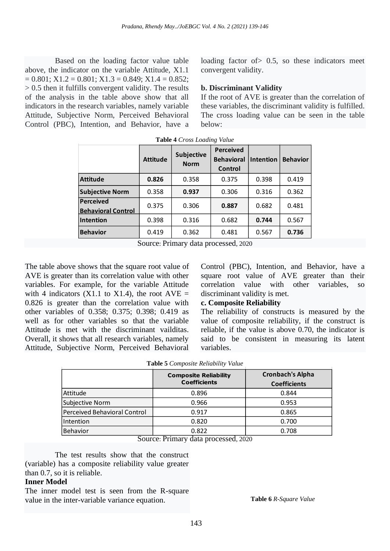Based on the loading factor value table above, the indicator on the variable Attitude, X1.1  $= 0.801$ ;  $X1.2 = 0.801$ ;  $X1.3 = 0.849$ ;  $X1.4 = 0.852$ ; > 0.5 then it fulfills convergent validity. The results of the analysis in the table above show that all If the r indicators in the research variables, namely variable these variables, the Attitude, Subjective Norm, Perceived Behavioral Control (PBC), Intention, and Behavior, have a be  $\frac{1001,111.5}{1001,111.7}$   $\frac{0.0524}{1001,111.7}$ 

loading factor of> 0.5, so these indicators meet convergent validity.

#### **b. Discriminant Validity**

If the root of AVE is greater than the correlation of these variables, the discriminant validity is fulfilled. The cross loading value can be seen in the table below:

|                                               | <b>Attitude</b> | Subjective<br><b>Norm</b> | <b>Perceived</b><br><b>Behavioral</b><br><b>Control</b> | Intention | <b>Behavior</b> |
|-----------------------------------------------|-----------------|---------------------------|---------------------------------------------------------|-----------|-----------------|
| <b>Attitude</b>                               | 0.826           | 0.358                     | 0.375                                                   | 0.398     | 0.419           |
| <b>Subjective Norm</b>                        | 0.358           | 0.937                     | 0.306                                                   | 0.316     | 0.362           |
| <b>Perceived</b><br><b>Behavioral Control</b> | 0.375           | 0.306                     | 0.887                                                   | 0.682     | 0.481           |
| Intention                                     | 0.398           | 0.316                     | 0.682                                                   | 0.744     | 0.567           |
| <b>Behavior</b>                               | 0.419           | 0.362                     | 0.481                                                   | 0.567     | 0.736           |

**Table 4** *Cross Loading Value*

Source: Primary data processed, 2020

The table above shows that the square root value of AVE is greater than its correlation value with other variables. For example, for the variable Attitude with 4 indicators (X1.1 to X1.4), the root  $AVE =$ 0.826 is greater than the correlation value with other variables of 0.358; 0.375; 0.398; 0.419 as well as for other variables so that the variable Attitude is met with the discriminant vailditas. Overall, it shows that all research variables, namely Attitude, Subjective Norm, Perceived Behavioral Control (PBC), Intention, and Behavior, have a square root value of AVE greater than their correlation value with other variables, so discriminant validity is met.

#### **c. Composite Reliability**

The reliability of constructs is measured by the value of composite reliability, if the construct is reliable, if the value is above 0.70, the indicator is said to be consistent in measuring its latent variables.

|                              | <b>Composite Reliability</b><br><b>Coefficients</b> | <b>Cronbach's Alpha</b><br><b>Coefficients</b> |  |
|------------------------------|-----------------------------------------------------|------------------------------------------------|--|
| Attitude                     | 0.896                                               | 0.844                                          |  |
| Subjective Norm              | 0.966                                               | 0.953                                          |  |
| Perceived Behavioral Control | 0.917                                               | 0.865                                          |  |
| Intention                    | 0.820                                               | 0.700                                          |  |
| <b>Behavior</b>              | 0.822                                               | 0.708                                          |  |

Source: Primary data processed, 2020

The test results show that the construct (variable) has a composite reliability value greater than 0.7, so it is reliable.

#### **Inner Model**

The inner model test is seen from the R-square value in the inter-variable variance equation. **Table 6** *R-Square Value*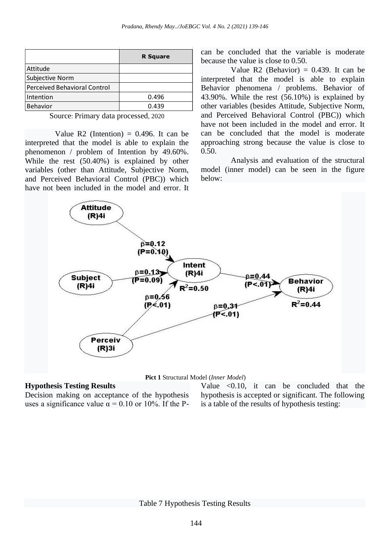|                              | <b>R</b> Square |
|------------------------------|-----------------|
| Attitude                     |                 |
| Subjective Norm              |                 |
| Perceived Behavioral Control |                 |
| Intention                    | 0.496           |
| Behavior                     | 0.439           |

Source: Primary data processed, 2020

Value R2 (Intention) =  $0.496$ . It can be interpreted that the model is able to explain the phenomenon / problem of Intention by 49.60%. While the rest (50.40%) is explained by other variables (other than Attitude, Subjective Norm, and Perceived Behavioral Control (PBC)) which have not been included in the model and error. It can be concluded that the variable is moderate because the value is close to 0.50.

Value R2 (Behavior) =  $0.439$ . It can be interpreted that the model is able to explain Behavior phenomena / problems. Behavior of 43.90%. While the rest (56.10%) is explained by other variables (besides Attitude, Subjective Norm, and Perceived Behavioral Control (PBC)) which have not been included in the model and error. It can be concluded that the model is moderate approaching strong because the value is close to 0.50.

Analysis and evaluation of the structural model (inner model) can be seen in the figure below:



**Pict 1** Structural Model (*Inner Model*)

# **Hypothesis Testing Results**

Decision making on acceptance of the hypothesis uses a significance value  $\alpha = 0.10$  or 10%. If the P-

Value  $\langle 0.10, it can be concluded that the$ hypothesis is accepted or significant. The following is a table of the results of hypothesis testing: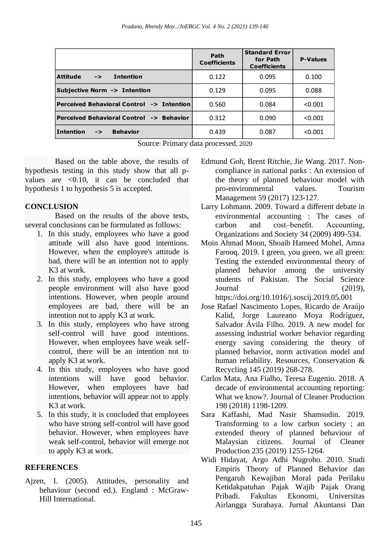|                                                      | Path<br><b>Coefficients</b> | <b>Standard Error</b><br>for Path<br><b>Coefficients</b> | <b>P-Values</b> |
|------------------------------------------------------|-----------------------------|----------------------------------------------------------|-----------------|
| <b>Attitude</b><br><b>Intention</b><br>$\rightarrow$ | 0.122                       | 0.095                                                    | 0.100           |
| Subjective Norm -> Intention                         | 0.129                       | 0.095                                                    | 0.088           |
| Perceived Behavioral Control -> Intention            | 0.560                       | 0.084                                                    | < 0.001         |
| Perceived Behavioral Control -> Behavior             | 0.312                       | 0.090                                                    | < 0.001         |
| <b>Intention</b><br><b>Behavior</b><br>$\rightarrow$ | 0.439                       | 0.087                                                    | < 0.001         |

Source: Primary data processed, 2020

Based on the table above, the results of hypothesis testing in this study show that all pvalues are <0.10, it can be concluded that hypothesis 1 to hypothesis 5 is accepted.

# **CONCLUSION**

Based on the results of the above tests, several conclusions can be formulated as follows:

- 1. In this study, employees who have a good attitude will also have good intentions. However, when the employee's attitude is bad, there will be an intention not to apply K3 at work.
- 2. In this study, employees who have a good people environment will also have good intentions. However, when people around employees are bad, there will be an intention not to apply K3 at work.
- 3. In this study, employees who have strong self-control will have good intentions. However, when employees have weak selfcontrol, there will be an intention not to apply K3 at work.
- 4. In this study, employees who have good intentions will have good behavior. However, when employees have bad intentions, behavior will appear not to apply K3 at work.
- 5. In this study, it is concluded that employees who have strong self-control will have good behavior. However, when employees have weak self-control, behavior will emerge not to apply K3 at work.

## **REFERENCES**

Ajzen, I. (2005). Attitudes, personality and behaviour (second ed.). England : McGraw-Hill International.

- Edmund Goh, Brent Ritchie, Jie Wang. 2017. Noncompliance in national parks : An extension of the theory of planned behaviour model with pro-environmental values. Tourism Management 59 (2017) 123-127.
- Larry Lohmann. 2009. Toward a different debate in environmental accounting : The cases of carbon and cost–benefit. Accounting, Organizations and Society 34 (2009) 499-534.
- Moin Ahmad Moon, Shoaib Hameed Mohel, Amna Farooq. 2019. I green, you green, we all green: Testing the extended environmental theory of planned behavior among the university students of Pakistan. The Social Science  $Journal$  (2019), https://doi.org/10.1016/j.soscij.2019.05.001
- Jose Rafael Nascimento Lopes, Ricardo de Araújo Kalid, Jorge Laureano Moya Rodríguez, Salvador Ávila Filho. 2019. A new model for assessing industrial worker behavior regarding energy saving considering the theory of planned behavior, norm activation model and human reliability. Resources, Conservation & Recycling 145 (2019) 268-278.
- Carlos Mata, Ana Fialho, Teresa Eugenio. 2018. A decade of environmental accounting reporting: What we know?. Journal of Cleaner Production 198 (2018) 1198-1209.
- Sara Kaffashi, Mad Nasir Shamsudin. 2019. Transforming to a low carbon society ; an extended theory of planned behaviour of Malaysian citizens. Journal of Cleaner Production 235 (2019) 1255-1264.
- Widi Hidayat, Argo Adhi Nugroho. 2010. Studi Empiris Theory of Planned Behavior dan Pengaruh Kewajiban Moral pada Perilaku Ketidakpatuhan Pajak Wajib Pajak Orang Pribadi. Fakultas Ekonomi, Universitas Airlangga Surabaya. Jurnal Akuntansi Dan